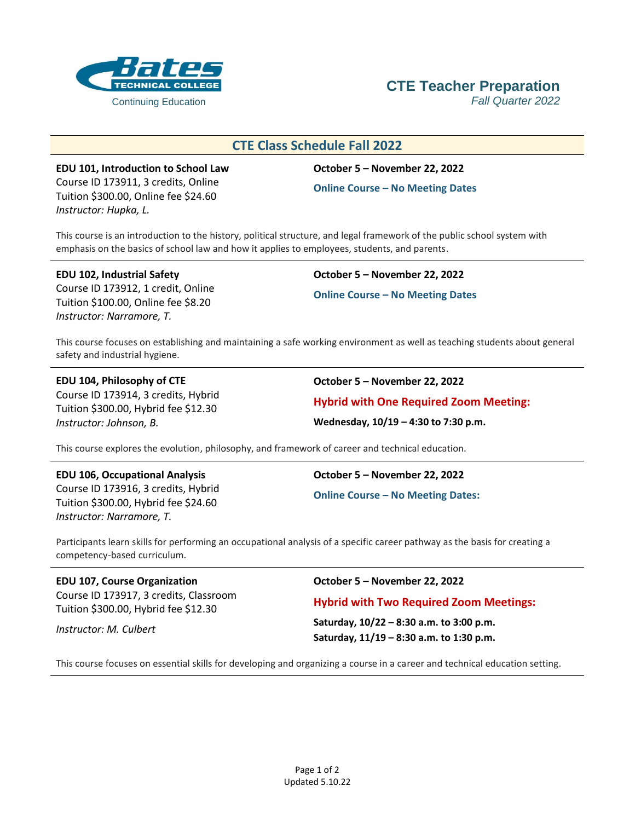

# **CTE Teacher Preparation**

# **CTE Class Schedule Fall 2022**

**EDU 101, Introduction to School Law** Course ID 173911, 3 credits, Online Tuition \$300.00, Online fee \$24.60 *Instructor: Hupka, L.*

## **October 5 – November 22, 2022**

**Online Course – No Meeting Dates**

This course is an introduction to the history, political structure, and legal framework of the public school system with emphasis on the basics of school law and how it applies to employees, students, and parents.

**EDU 102, Industrial Safety** Course ID 173912, 1 credit, Online Tuition \$100.00, Online fee \$8.20 *Instructor: Narramore, T.*

**October 5 – November 22, 2022 Online Course – No Meeting Dates**

This course focuses on establishing and maintaining a safe working environment as well as teaching students about general safety and industrial hygiene.

# **EDU 104, Philosophy of CTE**

Course ID 173914, 3 credits, Hybrid Tuition \$300.00, Hybrid fee \$12.30 *Instructor: Johnson, B.*

**October 5 – November 22, 2022**

**Hybrid with One Required Zoom Meeting:**

**Wednesday, 10/19 – 4:30 to 7:30 p.m.**

This course explores the evolution, philosophy, and framework of career and technical education.

#### **EDU 106, Occupational Analysis**

Course ID 173916, 3 credits, Hybrid Tuition \$300.00, Hybrid fee \$24.60 *Instructor: Narramore, T.*

**October 5 – November 22, 2022**

**Online Course – No Meeting Dates:**

Participants learn skills for performing an occupational analysis of a specific career pathway as the basis for creating a competency-based curriculum.

#### **EDU 107, Course Organization** Course ID 173917, 3 credits, Classroom

Tuition \$300.00, Hybrid fee \$12.30

*Instructor: M. Culbert*

**October 5 – November 22, 2022**

## **Hybrid with Two Required Zoom Meetings:**

**Saturday, 10/22 – 8:30 a.m. to 3:00 p.m. Saturday, 11/19 – 8:30 a.m. to 1:30 p.m.**

This course focuses on essential skills for developing and organizing a course in a career and technical education setting.